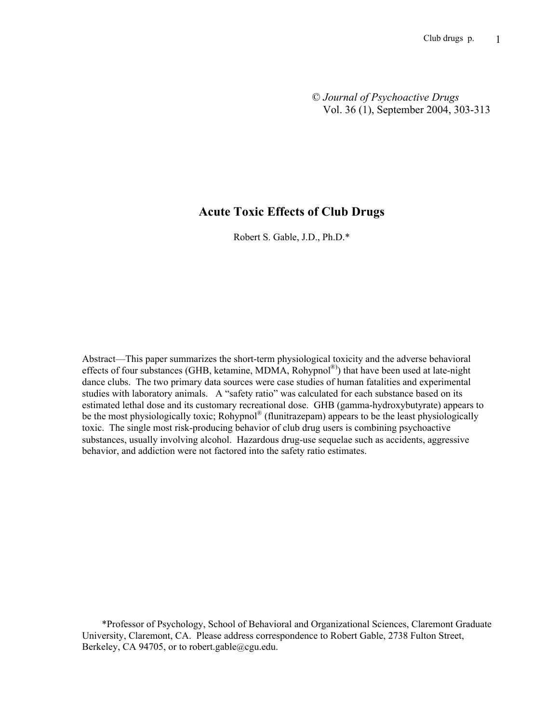© *Journal of Psychoactive Drugs* Vol. 36 (1), September 2004, 303-313

# Acute Toxic Effects of Club Drugs

Robert S. Gable, J.D., Ph.D.\*

Abstract—This paper summarizes the short-term physiological toxicity and the adverse behavioral effects of four substances (GHB, ketamine, MDMA, Rohypnol®)) that have been used at late-night dance clubs. The two primary data sources were case studies of human fatalities and experimental studies with laboratory animals. A "safety ratio" was calculated for each substance based on its estimated lethal dose and its customary recreational dose. GHB (gamma-hydroxybutyrate) appears to be the most physiologically toxic; Rohypnol<sup>®</sup> (flunitrazepam) appears to be the least physiologically toxic. The single most risk-producing behavior of club drug users is combining psychoactive substances, usually involving alcohol. Hazardous drug-use sequelae such as accidents, aggressive behavior, and addiction were not factored into the safety ratio estimates.

 \*Professor of Psychology, School of Behavioral and Organizational Sciences, Claremont Graduate University, Claremont, CA. Please address correspondence to Robert Gable, 2738 Fulton Street, Berkeley, CA 94705, or to robert.gable@cgu.edu.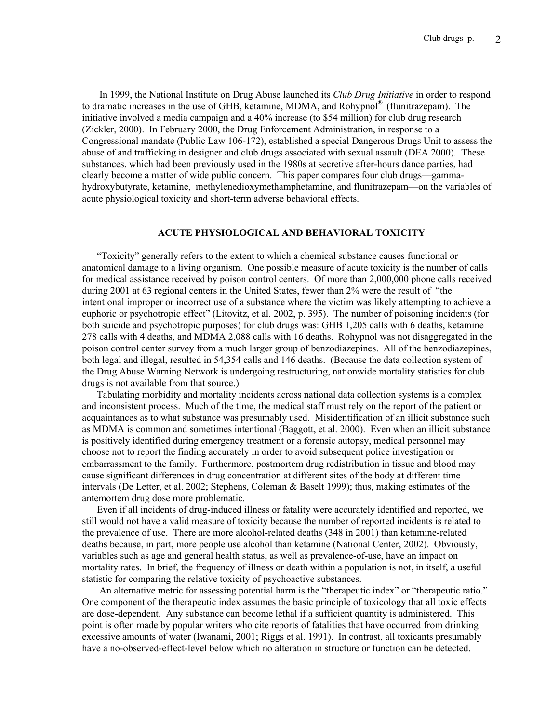In 1999, the National Institute on Drug Abuse launched its *Club Drug Initiative* in order to respond to dramatic increases in the use of GHB, ketamine, MDMA, and Rohypnol® (flunitrazepam). The initiative involved a media campaign and a 40% increase (to \$54 million) for club drug research (Zickler, 2000). In February 2000, the Drug Enforcement Administration, in response to a Congressional mandate (Public Law 106-172), established a special Dangerous Drugs Unit to assess the abuse of and trafficking in designer and club drugs associated with sexual assault (DEA 2000). These substances, which had been previously used in the 1980s at secretive after-hours dance parties, had clearly become a matter of wide public concern. This paper compares four club drugs—gammahydroxybutyrate, ketamine, methylenedioxymethamphetamine, and flunitrazepam—on the variables of acute physiological toxicity and short-term adverse behavioral effects.

## ACUTE PHYSIOLOGICAL AND BEHAVIORAL TOXICITY

 "Toxicity" generally refers to the extent to which a chemical substance causes functional or anatomical damage to a living organism. One possible measure of acute toxicity is the number of calls for medical assistance received by poison control centers. Of more than 2,000,000 phone calls received during 2001 at 63 regional centers in the United States, fewer than 2% were the result of "the intentional improper or incorrect use of a substance where the victim was likely attempting to achieve a euphoric or psychotropic effect" (Litovitz, et al. 2002, p. 395). The number of poisoning incidents (for both suicide and psychotropic purposes) for club drugs was: GHB 1,205 calls with 6 deaths, ketamine 278 calls with 4 deaths, and MDMA 2,088 calls with 16 deaths. Rohypnol was not disaggregated in the poison control center survey from a much larger group of benzodiazepines. All of the benzodiazepines, both legal and illegal, resulted in 54,354 calls and 146 deaths. (Because the data collection system of the Drug Abuse Warning Network is undergoing restructuring, nationwide mortality statistics for club drugs is not available from that source.)

 Tabulating morbidity and mortality incidents across national data collection systems is a complex and inconsistent process. Much of the time, the medical staff must rely on the report of the patient or acquaintances as to what substance was presumably used. Misidentification of an illicit substance such as MDMA is common and sometimes intentional (Baggott, et al. 2000). Even when an illicit substance is positively identified during emergency treatment or a forensic autopsy, medical personnel may choose not to report the finding accurately in order to avoid subsequent police investigation or embarrassment to the family. Furthermore, postmortem drug redistribution in tissue and blood may cause significant differences in drug concentration at different sites of the body at different time intervals (De Letter, et al. 2002; Stephens, Coleman & Baselt 1999); thus, making estimates of the antemortem drug dose more problematic.

 Even if all incidents of drug-induced illness or fatality were accurately identified and reported, we still would not have a valid measure of toxicity because the number of reported incidents is related to the prevalence of use. There are more alcohol-related deaths (348 in 2001) than ketamine-related deaths because, in part, more people use alcohol than ketamine (National Center, 2002). Obviously, variables such as age and general health status, as well as prevalence-of-use, have an impact on mortality rates. In brief, the frequency of illness or death within a population is not, in itself, a useful statistic for comparing the relative toxicity of psychoactive substances.

 An alternative metric for assessing potential harm is the "therapeutic index" or "therapeutic ratio." One component of the therapeutic index assumes the basic principle of toxicology that all toxic effects are dose-dependent. Any substance can become lethal if a sufficient quantity is administered. This point is often made by popular writers who cite reports of fatalities that have occurred from drinking excessive amounts of water (Iwanami, 2001; Riggs et al. 1991). In contrast, all toxicants presumably have a no-observed-effect-level below which no alteration in structure or function can be detected.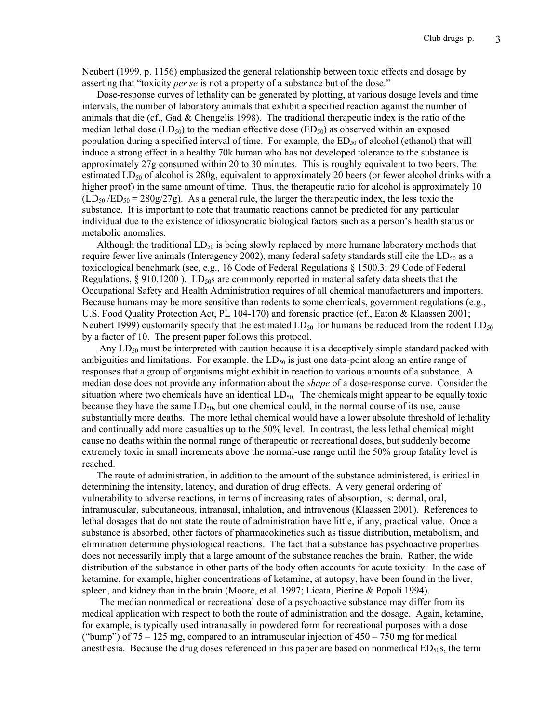Neubert (1999, p. 1156) emphasized the general relationship between toxic effects and dosage by asserting that "toxicity *per se* is not a property of a substance but of the dose."

 Dose-response curves of lethality can be generated by plotting, at various dosage levels and time intervals, the number of laboratory animals that exhibit a specified reaction against the number of animals that die (cf., Gad & Chengelis 1998). The traditional therapeutic index is the ratio of the median lethal dose (LD<sub>50</sub>) to the median effective dose (ED<sub>50</sub>) as observed within an exposed population during a specified interval of time. For example, the  $ED_{50}$  of alcohol (ethanol) that will induce a strong effect in a healthy 70k human who has not developed tolerance to the substance is approximately 27g consumed within 20 to 30 minutes. This is roughly equivalent to two beers. The estimated  $LD_{50}$  of alcohol is 280g, equivalent to approximately 20 beers (or fewer alcohol drinks with a higher proof) in the same amount of time. Thus, the therapeutic ratio for alcohol is approximately 10  $(LD_{50}/ED_{50} = 280g/27g)$ . As a general rule, the larger the therapeutic index, the less toxic the substance. It is important to note that traumatic reactions cannot be predicted for any particular individual due to the existence of idiosyncratic biological factors such as a person's health status or metabolic anomalies.

Although the traditional  $LD_{50}$  is being slowly replaced by more humane laboratory methods that require fewer live animals (Interagency 2002), many federal safety standards still cite the  $LD_{50}$  as a toxicological benchmark (see, e.g., 16 Code of Federal Regulations § 1500.3; 29 Code of Federal Regulations,  $\S 910.1200$ ). LD<sub>50</sub>s are commonly reported in material safety data sheets that the Occupational Safety and Health Administration requires of all chemical manufacturers and importers. Because humans may be more sensitive than rodents to some chemicals, government regulations (e.g., U.S. Food Quality Protection Act, PL 104-170) and forensic practice (cf., Eaton & Klaassen 2001; Neubert 1999) customarily specify that the estimated  $LD_{50}$  for humans be reduced from the rodent  $LD_{50}$ by a factor of 10. The present paper follows this protocol.

Any  $LD_{50}$  must be interpreted with caution because it is a deceptively simple standard packed with ambiguities and limitations. For example, the  $LD_{50}$  is just one data-point along an entire range of responses that a group of organisms might exhibit in reaction to various amounts of a substance. A median dose does not provide any information about the *shape* of a dose-response curve. Consider the situation where two chemicals have an identical  $LD_{50}$ . The chemicals might appear to be equally toxic because they have the same  $LD_{50}$ , but one chemical could, in the normal course of its use, cause substantially more deaths. The more lethal chemical would have a lower absolute threshold of lethality and continually add more casualties up to the 50% level. In contrast, the less lethal chemical might cause no deaths within the normal range of therapeutic or recreational doses, but suddenly become extremely toxic in small increments above the normal-use range until the 50% group fatality level is reached.

 The route of administration, in addition to the amount of the substance administered, is critical in determining the intensity, latency, and duration of drug effects. A very general ordering of vulnerability to adverse reactions, in terms of increasing rates of absorption, is: dermal, oral, intramuscular, subcutaneous, intranasal, inhalation, and intravenous (Klaassen 2001). References to lethal dosages that do not state the route of administration have little, if any, practical value. Once a substance is absorbed, other factors of pharmacokinetics such as tissue distribution, metabolism, and elimination determine physiological reactions. The fact that a substance has psychoactive properties does not necessarily imply that a large amount of the substance reaches the brain. Rather, the wide distribution of the substance in other parts of the body often accounts for acute toxicity. In the case of ketamine, for example, higher concentrations of ketamine, at autopsy, have been found in the liver, spleen, and kidney than in the brain (Moore, et al. 1997; Licata, Pierine & Popoli 1994).

 The median nonmedical or recreational dose of a psychoactive substance may differ from its medical application with respect to both the route of administration and the dosage. Again, ketamine, for example, is typically used intranasally in powdered form for recreational purposes with a dose ("bump") of  $75 - 125$  mg, compared to an intramuscular injection of  $450 - 750$  mg for medical anesthesia. Because the drug doses referenced in this paper are based on nonmedical  $ED_{50}$ s, the term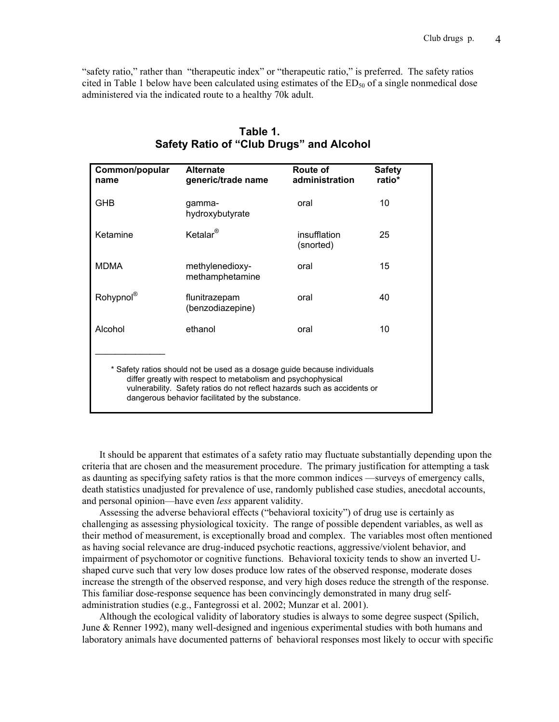"safety ratio," rather than "therapeutic index" or "therapeutic ratio," is preferred. The safety ratios cited in Table 1 below have been calculated using estimates of the  $ED_{50}$  of a single nonmedical dose administered via the indicated route to a healthy 70k adult.

| Common/popular<br>name                                                                                                                                                                                                                                                   | <b>Alternate</b><br>generic/trade name | Route of<br>administration | <b>Safety</b><br>ratio* |
|--------------------------------------------------------------------------------------------------------------------------------------------------------------------------------------------------------------------------------------------------------------------------|----------------------------------------|----------------------------|-------------------------|
| GHB                                                                                                                                                                                                                                                                      | gamma-<br>hydroxybutyrate              | oral                       | 10                      |
| Ketamine                                                                                                                                                                                                                                                                 | Ketalar $^{\circledR}$                 | insufflation<br>(snorted)  | 25                      |
| <b>MDMA</b>                                                                                                                                                                                                                                                              | methylenedioxy-<br>methamphetamine     | oral                       | 15                      |
| Rohypnol®                                                                                                                                                                                                                                                                | flunitrazepam<br>(benzodiazepine)      | oral                       | 40                      |
| Alcohol                                                                                                                                                                                                                                                                  | ethanol                                | oral                       | 10                      |
| * Safety ratios should not be used as a dosage guide because individuals<br>differ greatly with respect to metabolism and psychophysical<br>vulnerability. Safety ratios do not reflect hazards such as accidents or<br>dangerous behavior facilitated by the substance. |                                        |                            |                         |

# **Table 1. Safety Ratio of "Club Drugs" and Alcohol**

 It should be apparent that estimates of a safety ratio may fluctuate substantially depending upon the criteria that are chosen and the measurement procedure. The primary justification for attempting a task as daunting as specifying safety ratios is that the more common indices —surveys of emergency calls, death statistics unadjusted for prevalence of use, randomly published case studies, anecdotal accounts, and personal opinion—have even *less* apparent validity.

 Assessing the adverse behavioral effects ("behavioral toxicity") of drug use is certainly as challenging as assessing physiological toxicity. The range of possible dependent variables, as well as their method of measurement, is exceptionally broad and complex. The variables most often mentioned as having social relevance are drug-induced psychotic reactions, aggressive/violent behavior, and impairment of psychomotor or cognitive functions. Behavioral toxicity tends to show an inverted Ushaped curve such that very low doses produce low rates of the observed response, moderate doses increase the strength of the observed response, and very high doses reduce the strength of the response. This familiar dose-response sequence has been convincingly demonstrated in many drug selfadministration studies (e.g., Fantegrossi et al. 2002; Munzar et al. 2001).

 Although the ecological validity of laboratory studies is always to some degree suspect (Spilich, June & Renner 1992), many well-designed and ingenious experimental studies with both humans and laboratory animals have documented patterns of behavioral responses most likely to occur with specific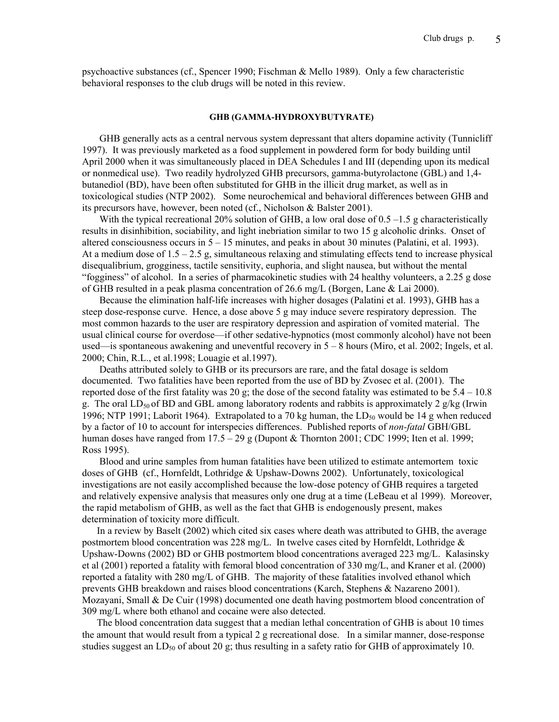psychoactive substances (cf., Spencer 1990; Fischman & Mello 1989). Only a few characteristic behavioral responses to the club drugs will be noted in this review.

### GHB (GAMMA-HYDROXYBUTYRATE)

 GHB generally acts as a central nervous system depressant that alters dopamine activity (Tunnicliff 1997). It was previously marketed as a food supplement in powdered form for body building until April 2000 when it was simultaneously placed in DEA Schedules I and III (depending upon its medical or nonmedical use). Two readily hydrolyzed GHB precursors, gamma-butyrolactone (GBL) and 1,4 butanediol (BD), have been often substituted for GHB in the illicit drug market, as well as in toxicological studies (NTP 2002). Some neurochemical and behavioral differences between GHB and its precursors have, however, been noted (cf., Nicholson & Balster 2001).

With the typical recreational 20% solution of GHB, a low oral dose of  $0.5 - 1.5$  g characteristically results in disinhibition, sociability, and light inebriation similar to two 15 g alcoholic drinks. Onset of altered consciousness occurs in 5 – 15 minutes, and peaks in about 30 minutes (Palatini, et al. 1993). At a medium dose of  $1.5 - 2.5$  g, simultaneous relaxing and stimulating effects tend to increase physical disequalibrium, grogginess, tactile sensitivity, euphoria, and slight nausea, but without the mental "fogginess" of alcohol. In a series of pharmacokinetic studies with 24 healthy volunteers, a 2.25 g dose of GHB resulted in a peak plasma concentration of 26.6 mg/L (Borgen, Lane & Lai 2000).

 Because the elimination half-life increases with higher dosages (Palatini et al. 1993), GHB has a steep dose-response curve. Hence, a dose above 5 g may induce severe respiratory depression. The most common hazards to the user are respiratory depression and aspiration of vomited material. The usual clinical course for overdose—if other sedative-hypnotics (most commonly alcohol) have not been used—is spontaneous awakening and uneventful recovery in  $5 - 8$  hours (Miro, et al. 2002; Ingels, et al. 2000; Chin, R.L., et al.1998; Louagie et al.1997).

 Deaths attributed solely to GHB or its precursors are rare, and the fatal dosage is seldom documented. Two fatalities have been reported from the use of BD by Zvosec et al. (2001). The reported dose of the first fatality was 20 g; the dose of the second fatality was estimated to be  $5.4 - 10.8$ g. The oral  $LD_{50}$  of BD and GBL among laboratory rodents and rabbits is approximately 2 g/kg (Irwin 1996; NTP 1991; Laborit 1964). Extrapolated to a 70 kg human, the  $LD_{50}$  would be 14 g when reduced by a factor of 10 to account for interspecies differences. Published reports of *non-fatal* GBH/GBL human doses have ranged from  $17.5 - 29$  g (Dupont & Thornton 2001; CDC 1999; Iten et al. 1999; Ross 1995).

 Blood and urine samples from human fatalities have been utilized to estimate antemortem toxic doses of GHB (cf., Hornfeldt, Lothridge & Upshaw-Downs 2002). Unfortunately, toxicological investigations are not easily accomplished because the low-dose potency of GHB requires a targeted and relatively expensive analysis that measures only one drug at a time (LeBeau et al 1999). Moreover, the rapid metabolism of GHB, as well as the fact that GHB is endogenously present, makes determination of toxicity more difficult.

 In a review by Baselt (2002) which cited six cases where death was attributed to GHB, the average postmortem blood concentration was 228 mg/L. In twelve cases cited by Hornfeldt, Lothridge  $\&$ Upshaw-Downs (2002) BD or GHB postmortem blood concentrations averaged 223 mg/L. Kalasinsky et al (2001) reported a fatality with femoral blood concentration of 330 mg/L, and Kraner et al. (2000) reported a fatality with 280 mg/L of GHB. The majority of these fatalities involved ethanol which prevents GHB breakdown and raises blood concentrations (Karch, Stephens & Nazareno 2001). Mozayani, Small & De Cuir (1998) documented one death having postmortem blood concentration of 309 mg/L where both ethanol and cocaine were also detected.

 The blood concentration data suggest that a median lethal concentration of GHB is about 10 times the amount that would result from a typical 2 g recreational dose. In a similar manner, dose-response studies suggest an  $LD_{50}$  of about 20 g; thus resulting in a safety ratio for GHB of approximately 10.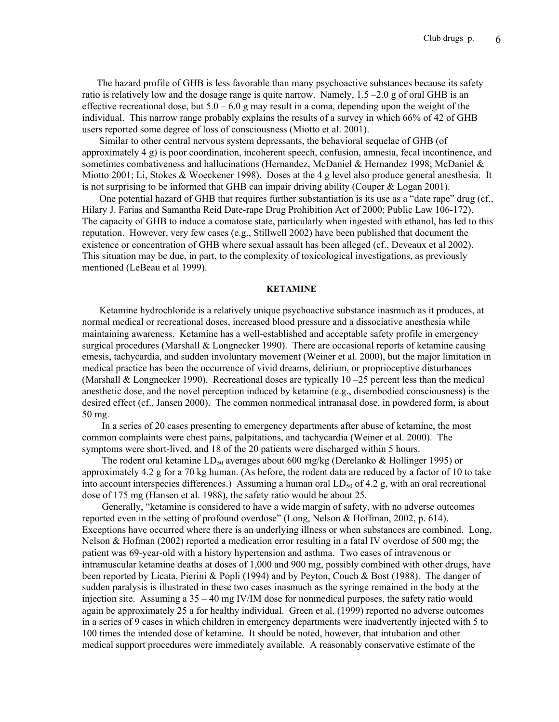The hazard profile of GHB is less favorable than many psychoactive substances because its safety ratio is relatively low and the dosage range is quite narrow. Namely, 1.5 –2.0 g of oral GHB is an effective recreational dose, but  $5.0 - 6.0$  g may result in a coma, depending upon the weight of the individual. This narrow range probably explains the results of a survey in which 66% of 42 of GHB users reported some degree of loss of consciousness (Miotto et al. 2001).

 Similar to other central nervous system depressants, the behavioral sequelae of GHB (of approximately 4 g) is poor coordination, incoherent speech, confusion, amnesia, fecal incontinence, and sometimes combativeness and hallucinations (Hernandez, McDaniel & Hernandez 1998; McDaniel & Miotto 2001; Li, Stokes & Woeckener 1998). Doses at the 4 g level also produce general anesthesia. It is not surprising to be informed that GHB can impair driving ability (Couper & Logan 2001).

 One potential hazard of GHB that requires further substantiation is its use as a "date rape" drug (cf., Hilary J. Farias and Samantha Reid Date-rape Drug Prohibition Act of 2000; Public Law 106-172). The capacity of GHB to induce a comatose state, particularly when ingested with ethanol, has led to this reputation. However, very few cases (e.g., Stillwell 2002) have been published that document the existence or concentration of GHB where sexual assault has been alleged (cf., Deveaux et al 2002). This situation may be due, in part, to the complexity of toxicological investigations, as previously mentioned (LeBeau et al 1999).

#### KETAMINE

 Ketamine hydrochloride is a relatively unique psychoactive substance inasmuch as it produces, at normal medical or recreational doses, increased blood pressure and a dissociative anesthesia while maintaining awareness. Ketamine has a well-established and acceptable safety profile in emergency surgical procedures (Marshall  $&$  Longnecker 1990). There are occasional reports of ketamine causing emesis, tachycardia, and sudden involuntary movement (Weiner et al. 2000), but the major limitation in medical practice has been the occurrence of vivid dreams, delirium, or proprioceptive disturbances (Marshall & Longnecker 1990). Recreational doses are typically  $10 - 25$  percent less than the medical anesthetic dose, and the novel perception induced by ketamine (e.g., disembodied consciousness) is the desired effect (cf., Jansen 2000). The common nonmedical intranasal dose, in powdered form, is about 50 mg.

 In a series of 20 cases presenting to emergency departments after abuse of ketamine, the most common complaints were chest pains, palpitations, and tachycardia (Weiner et al. 2000). The symptoms were short-lived, and 18 of the 20 patients were discharged within 5 hours.

The rodent oral ketamine  $LD_{50}$  averages about 600 mg/kg (Derelanko & Hollinger 1995) or approximately 4.2 g for a 70 kg human. (As before, the rodent data are reduced by a factor of 10 to take into account interspecies differences.) Assuming a human oral  $LD_{50}$  of 4.2 g, with an oral recreational dose of 175 mg (Hansen et al. 1988), the safety ratio would be about 25.

 Generally, "ketamine is considered to have a wide margin of safety, with no adverse outcomes reported even in the setting of profound overdose" (Long, Nelson & Hoffman, 2002, p. 614). Exceptions have occurred where there is an underlying illness or when substances are combined. Long, Nelson & Hofman (2002) reported a medication error resulting in a fatal IV overdose of 500 mg; the patient was 69-year-old with a history hypertension and asthma. Two cases of intravenous or intramuscular ketamine deaths at doses of 1,000 and 900 mg, possibly combined with other drugs, have been reported by Licata, Pierini & Popli (1994) and by Peyton, Couch & Bost (1988). The danger of sudden paralysis is illustrated in these two cases inasmuch as the syringe remained in the body at the injection site. Assuming a  $35 - 40$  mg IV/IM dose for nonmedical purposes, the safety ratio would again be approximately 25 a for healthy individual. Green et al. (1999) reported no adverse outcomes in a series of 9 cases in which children in emergency departments were inadvertently injected with 5 to 100 times the intended dose of ketamine. It should be noted, however, that intubation and other medical support procedures were immediately available. A reasonably conservative estimate of the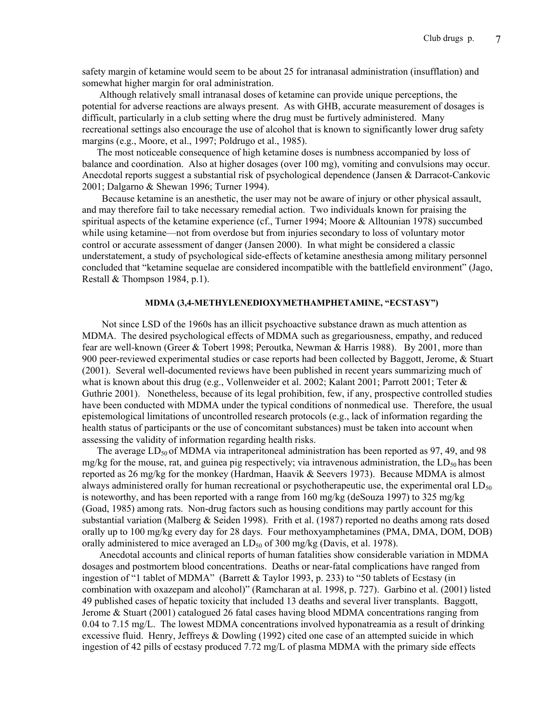safety margin of ketamine would seem to be about 25 for intranasal administration (insufflation) and somewhat higher margin for oral administration.

 Although relatively small intranasal doses of ketamine can provide unique perceptions, the potential for adverse reactions are always present. As with GHB, accurate measurement of dosages is difficult, particularly in a club setting where the drug must be furtively administered. Many recreational settings also encourage the use of alcohol that is known to significantly lower drug safety margins (e.g., Moore, et al., 1997; Poldrugo et al., 1985).

 The most noticeable consequence of high ketamine doses is numbness accompanied by loss of balance and coordination. Also at higher dosages (over 100 mg), vomiting and convulsions may occur. Anecdotal reports suggest a substantial risk of psychological dependence (Jansen & Darracot-Cankovic 2001; Dalgarno & Shewan 1996; Turner 1994).

 Because ketamine is an anesthetic, the user may not be aware of injury or other physical assault, and may therefore fail to take necessary remedial action. Two individuals known for praising the spiritual aspects of the ketamine experience (cf., Turner 1994; Moore & Alltounian 1978) succumbed while using ketamine—not from overdose but from injuries secondary to loss of voluntary motor control or accurate assessment of danger (Jansen 2000). In what might be considered a classic understatement, a study of psychological side-effects of ketamine anesthesia among military personnel concluded that "ketamine sequelae are considered incompatible with the battlefield environment" (Jago, Restall & Thompson 1984, p.1).

# MDMA (3,4-METHYLENEDIOXYMETHAMPHETAMINE, "ECSTASY")

 Not since LSD of the 1960s has an illicit psychoactive substance drawn as much attention as MDMA. The desired psychological effects of MDMA such as gregariousness, empathy, and reduced fear are well-known (Greer & Tobert 1998; Peroutka, Newman & Harris 1988). By 2001, more than 900 peer-reviewed experimental studies or case reports had been collected by Baggott, Jerome, & Stuart (2001). Several well-documented reviews have been published in recent years summarizing much of what is known about this drug (e.g., Vollenweider et al. 2002; Kalant 2001; Parrott 2001; Teter  $\&$ Guthrie 2001). Nonetheless, because of its legal prohibition, few, if any, prospective controlled studies have been conducted with MDMA under the typical conditions of nonmedical use. Therefore, the usual epistemological limitations of uncontrolled research protocols (e.g., lack of information regarding the health status of participants or the use of concomitant substances) must be taken into account when assessing the validity of information regarding health risks.

The average  $LD_{50}$  of MDMA via intraperitoneal administration has been reported as 97, 49, and 98 mg/kg for the mouse, rat, and guinea pig respectively; via intravenous administration, the  $LD<sub>50</sub>$  has been reported as 26 mg/kg for the monkey (Hardman, Haavik & Seevers 1973). Because MDMA is almost always administered orally for human recreational or psychotherapeutic use, the experimental oral  $LD_{50}$ is noteworthy, and has been reported with a range from 160 mg/kg (deSouza 1997) to 325 mg/kg (Goad, 1985) among rats. Non-drug factors such as housing conditions may partly account for this substantial variation (Malberg & Seiden 1998). Frith et al. (1987) reported no deaths among rats dosed orally up to 100 mg/kg every day for 28 days. Four methoxyamphetamines (PMA, DMA, DOM, DOB) orally administered to mice averaged an  $LD_{50}$  of 300 mg/kg (Davis, et al. 1978).

 Anecdotal accounts and clinical reports of human fatalities show considerable variation in MDMA dosages and postmortem blood concentrations. Deaths or near-fatal complications have ranged from ingestion of "1 tablet of MDMA" (Barrett & Taylor 1993, p. 233) to "50 tablets of Ecstasy (in combination with oxazepam and alcohol)" (Ramcharan at al. 1998, p. 727). Garbino et al. (2001) listed 49 published cases of hepatic toxicity that included 13 deaths and several liver transplants. Baggott, Jerome & Stuart (2001) catalogued 26 fatal cases having blood MDMA concentrations ranging from 0.04 to 7.15 mg/L. The lowest MDMA concentrations involved hyponatreamia as a result of drinking excessive fluid. Henry, Jeffreys & Dowling (1992) cited one case of an attempted suicide in which ingestion of 42 pills of ecstasy produced 7.72 mg/L of plasma MDMA with the primary side effects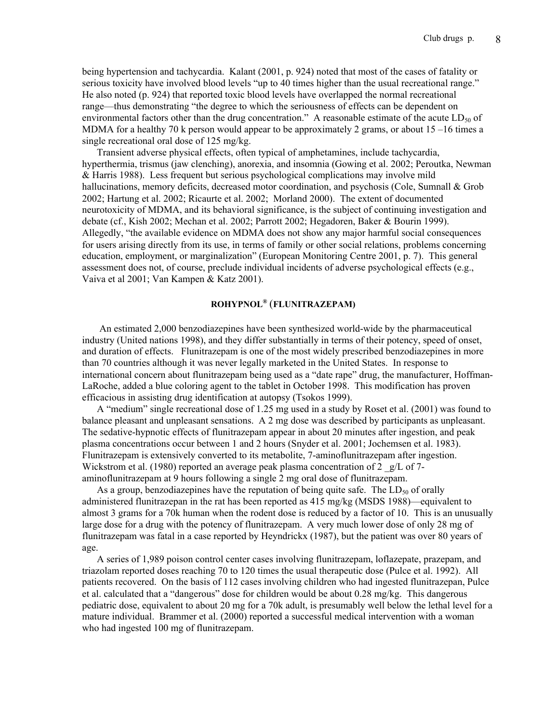being hypertension and tachycardia. Kalant (2001, p. 924) noted that most of the cases of fatality or serious toxicity have involved blood levels "up to 40 times higher than the usual recreational range." He also noted (p. 924) that reported toxic blood levels have overlapped the normal recreational range—thus demonstrating "the degree to which the seriousness of effects can be dependent on environmental factors other than the drug concentration." A reasonable estimate of the acute  $LD_{50}$  of MDMA for a healthy 70 k person would appear to be approximately 2 grams, or about  $15 - 16$  times a single recreational oral dose of 125 mg/kg.

 Transient adverse physical effects, often typical of amphetamines, include tachycardia, hyperthermia, trismus (jaw clenching), anorexia, and insomnia (Gowing et al. 2002; Peroutka, Newman & Harris 1988). Less frequent but serious psychological complications may involve mild hallucinations, memory deficits, decreased motor coordination, and psychosis (Cole, Sumnall & Grob 2002; Hartung et al. 2002; Ricaurte et al. 2002; Morland 2000). The extent of documented neurotoxicity of MDMA, and its behavioral significance, is the subject of continuing investigation and debate (cf., Kish 2002; Mechan et al. 2002; Parrott 2002; Hegadoren, Baker & Bourin 1999). Allegedly, "the available evidence on MDMA does not show any major harmful social consequences for users arising directly from its use, in terms of family or other social relations, problems concerning education, employment, or marginalization" (European Monitoring Centre 2001, p. 7). This general assessment does not, of course, preclude individual incidents of adverse psychological effects (e.g., Vaiva et al 2001; Van Kampen & Katz 2001).

## ROHYPNOL® (FLUNITRAZEPAM)

 An estimated 2,000 benzodiazepines have been synthesized world-wide by the pharmaceutical industry (United nations 1998), and they differ substantially in terms of their potency, speed of onset, and duration of effects. Flunitrazepam is one of the most widely prescribed benzodiazepines in more than 70 countries although it was never legally marketed in the United States. In response to international concern about flunitrazepam being used as a "date rape" drug, the manufacturer, Hoffman-LaRoche, added a blue coloring agent to the tablet in October 1998. This modification has proven efficacious in assisting drug identification at autopsy (Tsokos 1999).

 A "medium" single recreational dose of 1.25 mg used in a study by Roset et al. (2001) was found to balance pleasant and unpleasant sensations. A 2 mg dose was described by participants as unpleasant. The sedative-hypnotic effects of flunitrazepam appear in about 20 minutes after ingestion, and peak plasma concentrations occur between 1 and 2 hours (Snyder et al. 2001; Jochemsen et al. 1983). Flunitrazepam is extensively converted to its metabolite, 7-aminoflunitrazepam after ingestion. Wickstrom et al. (1980) reported an average peak plasma concentration of 2  $g/L$  of 7aminoflunitrazepam at 9 hours following a single 2 mg oral dose of flunitrazepam.

As a group, benzodiazepines have the reputation of being quite safe. The  $LD_{50}$  of orally administered flunitrazepan in the rat has been reported as 415 mg/kg (MSDS 1988)—equivalent to almost 3 grams for a 70k human when the rodent dose is reduced by a factor of 10. This is an unusually large dose for a drug with the potency of flunitrazepam. A very much lower dose of only 28 mg of flunitrazepam was fatal in a case reported by Heyndrickx (1987), but the patient was over 80 years of age.

 A series of 1,989 poison control center cases involving flunitrazepam, loflazepate, prazepam, and triazolam reported doses reaching 70 to 120 times the usual therapeutic dose (Pulce et al. 1992). All patients recovered. On the basis of 112 cases involving children who had ingested flunitrazepan, Pulce et al. calculated that a "dangerous" dose for children would be about 0.28 mg/kg. This dangerous pediatric dose, equivalent to about 20 mg for a 70k adult, is presumably well below the lethal level for a mature individual. Brammer et al. (2000) reported a successful medical intervention with a woman who had ingested 100 mg of flunitrazepam.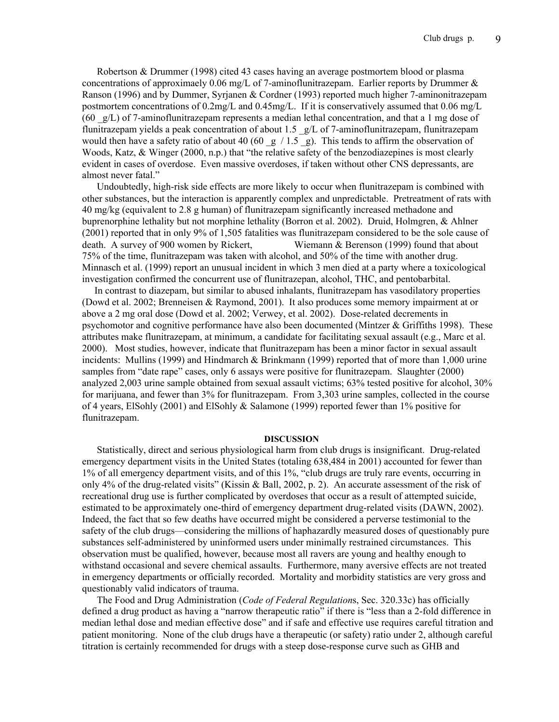Robertson & Drummer (1998) cited 43 cases having an average postmortem blood or plasma concentrations of approximaely 0.06 mg/L of 7-aminoflunitrazepam. Earlier reports by Drummer  $\&$ Ranson (1996) and by Dummer, Syrjanen & Cordner (1993) reported much higher 7-aminonitrazepam postmortem concentrations of 0.2mg/L and 0.45mg/L. If it is conservatively assumed that 0.06 mg/L  $(60 \text{ g/L})$  of 7-aminoflunitrazepam represents a median lethal concentration, and that a 1 mg dose of flunitrazepam yields a peak concentration of about 1.5 g/L of 7-aminoflunitrazepam, flunitrazepam would then have a safety ratio of about 40 (60  $\frac{g}{1.5}$  g). This tends to affirm the observation of Woods, Katz, & Winger (2000, n.p.) that "the relative safety of the benzodiazepines is most clearly evident in cases of overdose. Even massive overdoses, if taken without other CNS depressants, are almost never fatal."

 Undoubtedly, high-risk side effects are more likely to occur when flunitrazepam is combined with other substances, but the interaction is apparently complex and unpredictable. Pretreatment of rats with 40 mg/kg (equivalent to 2.8 g human) of flunitrazepam significantly increased methadone and buprenorphine lethality but not morphine lethality (Borron et al. 2002). Druid, Holmgren, & Ahlner (2001) reported that in only 9% of 1,505 fatalities was flunitrazepam considered to be the sole cause of death. A survey of 900 women by Rickert, Wiemann & Berenson (1999) found that about 75% of the time, flunitrazepam was taken with alcohol, and 50% of the time with another drug. Minnasch et al. (1999) report an unusual incident in which 3 men died at a party where a toxicological investigation confirmed the concurrent use of flunitrazepan, alcohol, THC, and pentobarbital.

 In contrast to diazepam, but similar to abused inhalants, flunitrazepam has vasodilatory properties (Dowd et al. 2002; Brenneisen & Raymond, 2001). It also produces some memory impairment at or above a 2 mg oral dose (Dowd et al. 2002; Verwey, et al. 2002). Dose-related decrements in psychomotor and cognitive performance have also been documented (Mintzer & Griffiths 1998). These attributes make flunitrazepam, at minimum, a candidate for facilitating sexual assault (e.g., Marc et al. 2000). Most studies, however, indicate that flunitrazepam has been a minor factor in sexual assault incidents: Mullins (1999) and Hindmarch & Brinkmann (1999) reported that of more than 1,000 urine samples from "date rape" cases, only 6 assays were positive for flunitrazepam. Slaughter (2000) analyzed 2,003 urine sample obtained from sexual assault victims; 63% tested positive for alcohol, 30% for marijuana, and fewer than 3% for flunitrazepam. From 3,303 urine samples, collected in the course of 4 years, ElSohly (2001) and ElSohly & Salamone (1999) reported fewer than 1% positive for flunitrazepam.

### DISCUSSION

 Statistically, direct and serious physiological harm from club drugs is insignificant. Drug-related emergency department visits in the United States (totaling 638,484 in 2001) accounted for fewer than 1% of all emergency department visits, and of this 1%, "club drugs are truly rare events, occurring in only 4% of the drug-related visits" (Kissin & Ball, 2002, p. 2). An accurate assessment of the risk of recreational drug use is further complicated by overdoses that occur as a result of attempted suicide, estimated to be approximately one-third of emergency department drug-related visits (DAWN, 2002). Indeed, the fact that so few deaths have occurred might be considered a perverse testimonial to the safety of the club drugs—considering the millions of haphazardly measured doses of questionably pure substances self-administered by uninformed users under minimally restrained circumstances. This observation must be qualified, however, because most all ravers are young and healthy enough to withstand occasional and severe chemical assaults. Furthermore, many aversive effects are not treated in emergency departments or officially recorded. Mortality and morbidity statistics are very gross and questionably valid indicators of trauma.

 The Food and Drug Administration (*Code of Federal Regulation*s, Sec. 320.33c) has officially defined a drug product as having a "narrow therapeutic ratio" if there is "less than a 2-fold difference in median lethal dose and median effective dose" and if safe and effective use requires careful titration and patient monitoring. None of the club drugs have a therapeutic (or safety) ratio under 2, although careful titration is certainly recommended for drugs with a steep dose-response curve such as GHB and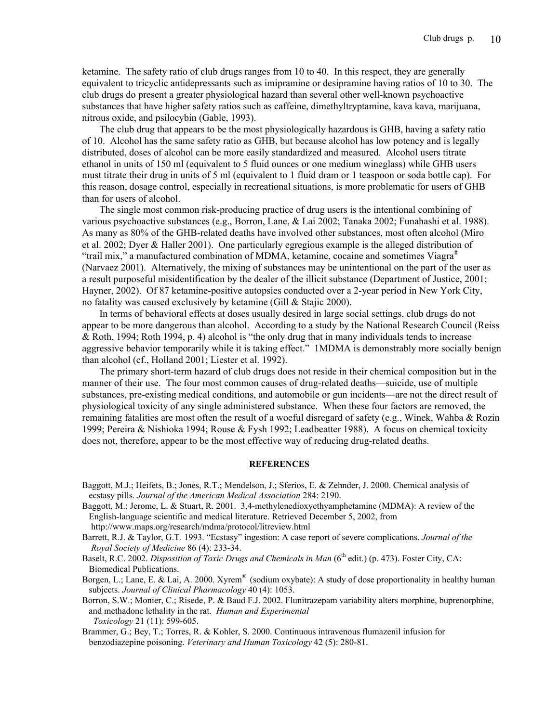ketamine. The safety ratio of club drugs ranges from 10 to 40. In this respect, they are generally equivalent to tricyclic antidepressants such as imipramine or desipramine having ratios of 10 to 30. The club drugs do present a greater physiological hazard than several other well-known psychoactive substances that have higher safety ratios such as caffeine, dimethyltryptamine, kava kava, marijuana, nitrous oxide, and psilocybin (Gable, 1993).

 The club drug that appears to be the most physiologically hazardous is GHB, having a safety ratio of 10. Alcohol has the same safety ratio as GHB, but because alcohol has low potency and is legally distributed, doses of alcohol can be more easily standardized and measured. Alcohol users titrate ethanol in units of 150 ml (equivalent to 5 fluid ounces or one medium wineglass) while GHB users must titrate their drug in units of 5 ml (equivalent to 1 fluid dram or 1 teaspoon or soda bottle cap). For this reason, dosage control, especially in recreational situations, is more problematic for users of GHB than for users of alcohol.

 The single most common risk-producing practice of drug users is the intentional combining of various psychoactive substances (e.g., Borron, Lane, & Lai 2002; Tanaka 2002; Funahashi et al. 1988). As many as 80% of the GHB-related deaths have involved other substances, most often alcohol (Miro et al. 2002; Dyer & Haller 2001). One particularly egregious example is the alleged distribution of "trail mix," a manufactured combination of MDMA, ketamine, cocaine and sometimes Viagra<sup>®</sup> (Narvaez 2001). Alternatively, the mixing of substances may be unintentional on the part of the user as a result purposeful misidentification by the dealer of the illicit substance (Department of Justice, 2001; Hayner, 2002). Of 87 ketamine-positive autopsies conducted over a 2-year period in New York City, no fatality was caused exclusively by ketamine (Gill & Stajic 2000).

 In terms of behavioral effects at doses usually desired in large social settings, club drugs do not appear to be more dangerous than alcohol. According to a study by the National Research Council (Reiss & Roth, 1994; Roth 1994, p. 4) alcohol is "the only drug that in many individuals tends to increase aggressive behavior temporarily while it is taking effect." 1MDMA is demonstrably more socially benign than alcohol (cf., Holland 2001; Liester et al. 1992).

 The primary short-term hazard of club drugs does not reside in their chemical composition but in the manner of their use. The four most common causes of drug-related deaths—suicide, use of multiple substances, pre-existing medical conditions, and automobile or gun incidents—are not the direct result of physiological toxicity of any single administered substance. When these four factors are removed, the remaining fatalities are most often the result of a woeful disregard of safety (e.g., Winek, Wahba & Rozin 1999; Pereira & Nishioka 1994; Rouse & Fysh 1992; Leadbeatter 1988). A focus on chemical toxicity does not, therefore, appear to be the most effective way of reducing drug-related deaths.

#### **REFERENCES**

- Baggott, M.J.; Heifets, B.; Jones, R.T.; Mendelson, J.; Sferios, E. & Zehnder, J. 2000. Chemical analysis of ecstasy pills. *Journal of the American Medical Association* 284: 2190.
- Baggott, M.; Jerome, L. & Stuart, R. 2001. 3,4-methylenedioxyethyamphetamine (MDMA): A review of the English-language scientific and medical literature. Retrieved December 5, 2002, from http://www.maps.org/research/mdma/protocol/litreview.html
- Barrett, R.J. & Taylor, G.T. 1993. "Ecstasy" ingestion: A case report of severe complications. *Journal of the Royal Society of Medicine* 86 (4): 233-34.
- Baselt, R.C. 2002. *Disposition of Toxic Drugs and Chemicals in Man* (6<sup>th</sup> edit.) (p. 473). Foster City, CA: Biomedical Publications.

Borgen, L.; Lane, E. & Lai, A. 2000. Xyrem<sup>®</sup> (sodium oxybate): A study of dose proportionality in healthy human subjects. *Journal of Clinical Pharmacology* 40 (4): 1053.

Borron, S.W.; Monier, C.; Risede, P. & Baud F.J. 2002. Flunitrazepam variability alters morphine, buprenorphine, and methadone lethality in the rat. *Human and Experimental Toxicology* 21 (11): 599-605.

Brammer, G.; Bey, T.; Torres, R. & Kohler, S. 2000. Continuous intravenous flumazenil infusion for benzodiazepine poisoning. *Veterinary and Human Toxicology* 42 (5): 280-81.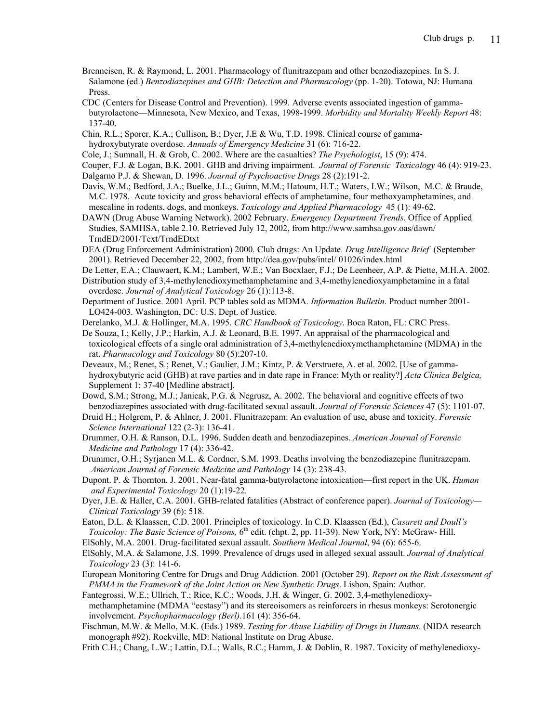- Brenneisen, R. & Raymond, L. 2001. Pharmacology of flunitrazepam and other benzodiazepines. In S. J. Salamone (ed.) *Benzodiazepines and GHB: Detection and Pharmacology* (pp. 1-20). Totowa, NJ: Humana Press.
- CDC (Centers for Disease Control and Prevention). 1999. Adverse events associated ingestion of gamma butyrolactone—Minnesota, New Mexico, and Texas, 1998-1999. *Morbidity and Mortality Weekly Report* 48: 137-40.
- Chin, R.L.; Sporer, K.A.; Cullison, B.; Dyer, J.E & Wu, T.D. 1998. Clinical course of gamma hydroxybutyrate overdose. *Annuals of Emergency Medicine* 31 (6): 716-22.
- Cole, J.; Sumnall, H. & Grob, C. 2002. Where are the casualties? *The Psychologist*, 15 (9): 474.
- Couper, F.J. & Logan, B.K. 2001. GHB and driving impairment. *Journal of Forensic Toxicology* 46 (4): 919-23.
- Dalgarno P.J. & Shewan, D. 1996. *Journal of Psychoactive Drugs* 28 (2):191-2.
- Davis, W.M.; Bedford, J.A.; Buelke, J.L.; Guinn, M.M.; Hatoum, H.T.; Waters, I.W.; Wilson, M.C. & Braude, M.C. 1978. Acute toxicity and gross behavioral effects of amphetamine, four methoxyamphetamines, and mescaline in rodents, dogs, and monkeys. *Toxicology and Applied Pharmacology* 45 (1): 49-62.
- DAWN (Drug Abuse Warning Network). 2002 February. *Emergency Department Trends*. Office of Applied Studies, SAMHSA, table 2.10. Retrieved July 12, 2002, from http://www.samhsa.gov.oas/dawn/ TrndED/2001/Text/TrndEDtxt
- DEA (Drug Enforcement Administration) 2000. Club drugs: An Update. *Drug Intelligence Brief* (September 2001). Retrieved December 22, 2002, from http://dea.gov/pubs/intel/ 01026/index.html
- De Letter, E.A.; Clauwaert, K.M.; Lambert, W.E.; Van Bocxlaer, F.J.; De Leenheer, A.P. & Piette, M.H.A. 2002.
- Distribution study of 3,4-methylenedioxymethamphetamine and 3,4-methylenedioxyamphetamine in a fatal overdose. *Journal of Analytical Toxicology* 26 (1):113-8.
- Department of Justice. 2001 April. PCP tables sold as MDMA. *Information Bulletin*. Product number 2001- LO424-003. Washington, DC: U.S. Dept. of Justice.
- Derelanko, M.J. & Hollinger, M.A. 1995. *CRC Handbook of Toxicology*. Boca Raton, FL: CRC Press.
- De Souza, I.; Kelly, J.P.; Harkin, A.J. & Leonard, B.E. 1997. An appraisal of the pharmacological and toxicological effects of a single oral administration of 3,4-methylenedioxymethamphetamine (MDMA) in the rat. *Pharmacology and Toxicology* 80 (5):207-10.
- Deveaux, M.; Renet, S.; Renet, V.; Gaulier, J.M.; Kintz, P. & Verstraete, A. et al. 2002. [Use of gamma hydroxybutyric acid (GHB) at rave parties and in date rape in France: Myth or reality?] *Acta Clinica Belgica,* Supplement 1: 37-40 [Medline abstract].
- Dowd, S.M.; Strong, M.J.; Janicak, P.G. & Negrusz, A. 2002. The behavioral and cognitive effects of two benzodiazepines associated with drug-facilitated sexual assault. *Journal of Forensic Sciences* 47 (5): 1101-07.
- Druid H.; Holgrem, P. & Ahlner, J. 2001. Flunitrazepam: An evaluation of use, abuse and toxicity. *Forensic Science International* 122 (2-3): 136-41.
- Drummer, O.H. & Ranson, D.L. 1996. Sudden death and benzodiazepines. *American Journal of Forensic Medicine and Pathology* 17 (4): 336-42.
- Drummer, O.H.; Syrjanen M.L. & Cordner, S.M. 1993. Deaths involving the benzodiazepine flunitrazepam. *American Journal of Forensic Medicine and Pathology* 14 (3): 238-43.
- Dupont. P. & Thornton. J. 2001. Near-fatal gamma-butyrolactone intoxication—first report in the UK. *Human and Experimental Toxicology* 20 (1):19-22.
- Dyer, J.E. & Haller, C.A. 2001. GHB-related fatalities (Abstract of conference paper). *Journal of Toxicology— Clinical Toxicology* 39 (6): 518.
- Eaton, D.L. & Klaassen, C.D. 2001. Principles of toxicology. In C.D. Klaassen (Ed.), *Casarett and Doull's Toxicoloy: The Basic Science of Poisons,* 6<sup>th</sup> edit. (chpt. 2, pp. 11-39). New York, NY: McGraw- Hill.
- ElSohly, M.A. 2001. Drug-facilitated sexual assault. *Southern Medical Journal*, 94 (6): 655-6.
- ElSohly, M.A. & Salamone, J.S. 1999. Prevalence of drugs used in alleged sexual assault. *Journal of Analytical Toxicology* 23 (3): 141-6.
- European Monitoring Centre for Drugs and Drug Addiction. 2001 (October 29). *Report on the Risk Assessment of PMMA in the Framework of the Joint Action on New Synthetic Drugs*. Lisbon, Spain: Author.
- Fantegrossi, W.E.; Ullrich, T.; Rice, K.C.; Woods, J.H. & Winger, G. 2002. 3,4-methylenedioxy methamphetamine (MDMA "ecstasy") and its stereoisomers as reinforcers in rhesus monkeys: Serotonergic involvement. *Psychopharmacology (Berl)*.161 (4): 356-64.
- Fischman, M.W. & Mello, M.K. (Eds.) 1989. *Testing for Abuse Liability of Drugs in Humans*. (NIDA research monograph #92). Rockville, MD: National Institute on Drug Abuse.
- Frith C.H.; Chang, L.W.; Lattin, D.L.; Walls, R.C.; Hamm, J. & Doblin, R. 1987. Toxicity of methylenedioxy-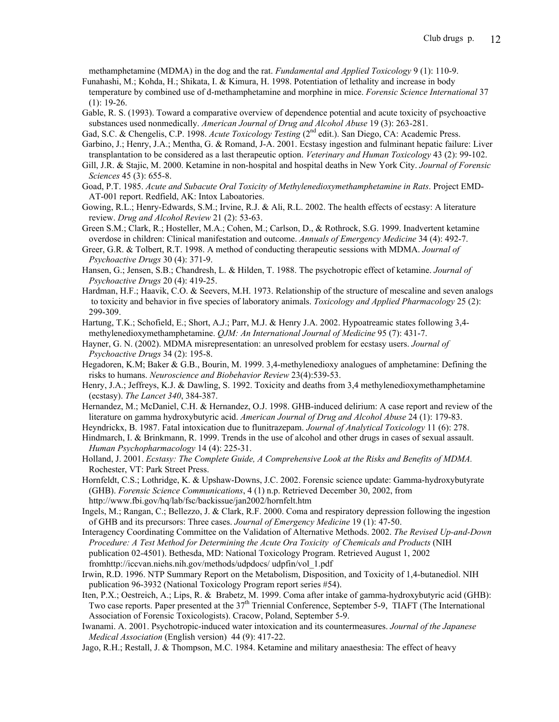methamphetamine (MDMA) in the dog and the rat. *Fundamental and Applied Toxicology* 9 (1): 110-9.

- Funahashi, M.; Kohda, H.; Shikata, I. & Kimura, H. 1998. Potentiation of lethality and increase in body temperature by combined use of d-methamphetamine and morphine in mice. *Forensic Science International* 37  $(1): 19-26.$
- Gable, R. S. (1993). Toward a comparative overview of dependence potential and acute toxicity of psychoactive substances used nonmedically. *American Journal of Drug and Alcohol Abuse* 19 (3): 263-281.
- Gad, S.C. & Chengelis, C.P. 1998. *Acute Toxicology Testing* (2<sup>nd</sup> edit.). San Diego, CA: Academic Press.
- Garbino, J.; Henry, J.A.; Mentha, G. & Romand, J-A. 2001. Ecstasy ingestion and fulminant hepatic failure: Liver transplantation to be considered as a last therapeutic option. *Veterinary and Human Toxicology* 43 (2): 99-102.
- Gill, J.R. & Stajic, M. 2000. Ketamine in non-hospital and hospital deaths in New York City. *Journal of Forensic Sciences* 45 (3): 655-8.
- Goad, P.T. 1985. *Acute and Subacute Oral Toxicity of Methylenedioxymethamphetamine in Rats*. Project EMD- AT-001 report. Redfield, AK: Intox Laboatories.
- Gowing, R.L.; Henry-Edwards, S.M.; Irvine, R.J. & Ali, R.L. 2002. The health effects of ecstasy: A literature review. *Drug and Alcohol Review* 21 (2): 53-63.
- Green S.M.; Clark, R.; Hosteller, M.A.; Cohen, M.; Carlson, D., & Rothrock, S.G. 1999. Inadvertent ketamine overdose in children: Clinical manifestation and outcome. *Annuals of Emergency Medicine* 34 (4): 492-7.
- Greer, G.R. & Tolbert, R.T. 1998. A method of conducting therapeutic sessions with MDMA. *Journal of Psychoactive Drugs* 30 (4): 371-9.
- Hansen, G.; Jensen, S.B.; Chandresh, L. & Hilden, T. 1988. The psychotropic effect of ketamine. *Journal of Psychoactive Drugs* 20 (4): 419-25.
- Hardman, H.F.; Haavik, C.O. & Seevers, M.H. 1973. Relationship of the structure of mescaline and seven analogs to toxicity and behavior in five species of laboratory animals. *Toxicology and Applied Pharmacology* 25 (2): 299-309.
- Hartung, T.K.; Schofield, E.; Short, A.J.; Parr, M.J. & Henry J.A. 2002. Hypoatreamic states following 3,4 methylenedioxymethamphetamine. *QJM: An International Journal of Medicine* 95 (7): 431-7.
- Hayner, G. N. (2002). MDMA misrepresentation: an unresolved problem for ecstasy users. *Journal of Psychoactive Drugs* 34 (2): 195-8.
- Hegadoren, K.M; Baker & G.B., Bourin, M. 1999. 3,4-methylenedioxy analogues of amphetamine: Defining the risks to humans. *Neuroscience and Biobehavior Review* 23(4):539-53.
- Henry, J.A.; Jeffreys, K.J. & Dawling, S. 1992. Toxicity and deaths from 3,4 methylenedioxymethamphetamine (ecstasy). *The Lancet 340*, 384-387.
- Hernandez, M.; McDaniel, C.H. & Hernandez, O.J. 1998. GHB-induced delirium: A case report and review of the literature on gamma hydroxybutyric acid. *American Journal of Drug and Alcohol Abuse* 24 (1): 179-83.
- Heyndrickx, B. 1987. Fatal intoxication due to flunitrazepam. *Journal of Analytical Toxicology* 11 (6): 278.
- Hindmarch, I. & Brinkmann, R. 1999. Trends in the use of alcohol and other drugs in cases of sexual assault. *Human Psychopharmacology* 14 (4): 225-31.
- Holland, J. 2001. *Ecstasy: The Complete Guide, A Comprehensive Look at the Risks and Benefits of MDMA.* Rochester, VT: Park Street Press.
- Hornfeldt, C.S.; Lothridge, K. & Upshaw-Downs, J.C. 2002. Forensic science update: Gamma-hydroxybutyrate (GHB). *Forensic Science Communications*, 4 (1) n.p. Retrieved December 30, 2002, from http://www.fbi.gov/hq/lab/fsc/backissue/jan2002/hornfelt.htm
- Ingels, M.; Rangan, C.; Bellezzo, J. & Clark, R.F. 2000. Coma and respiratory depression following the ingestion of GHB and its precursors: Three cases. *Journal of Emergency Medicine* 19 (1): 47-50.
- Interagency Coordinating Committee on the Validation of Alternative Methods. 2002. *The Revised Up-and-Down Procedure: A Test Method for Determining the Acute Ora Toxicity of Chemicals and Products* (NIH publication 02-4501). Bethesda, MD: National Toxicology Program. Retrieved August 1, 2002 fromhttp://iccvan.niehs.nih.gov/methods/udpdocs/ udpfin/vol\_1.pdf
- Irwin, R.D. 1996. NTP Summary Report on the Metabolism, Disposition, and Toxicity of 1,4-butanediol. NIH publication 96-3932 (National Toxicology Program report series #54).
- Iten, P.X.; Oestreich, A.; Lips, R. & Brabetz, M. 1999. Coma after intake of gamma-hydroxybutyric acid (GHB): Two case reports. Paper presented at the 37<sup>th</sup> Triennial Conference, September 5-9, TIAFT (The International Association of Forensic Toxicologists). Cracow, Poland, September 5-9.
- Iwanami. A. 2001. Psychotropic-induced water intoxication and its countermeasures. *Journal of the Japanese Medical Association* (English version) 44 (9): 417-22.
- Jago, R.H.; Restall, J. & Thompson, M.C. 1984. Ketamine and military anaesthesia: The effect of heavy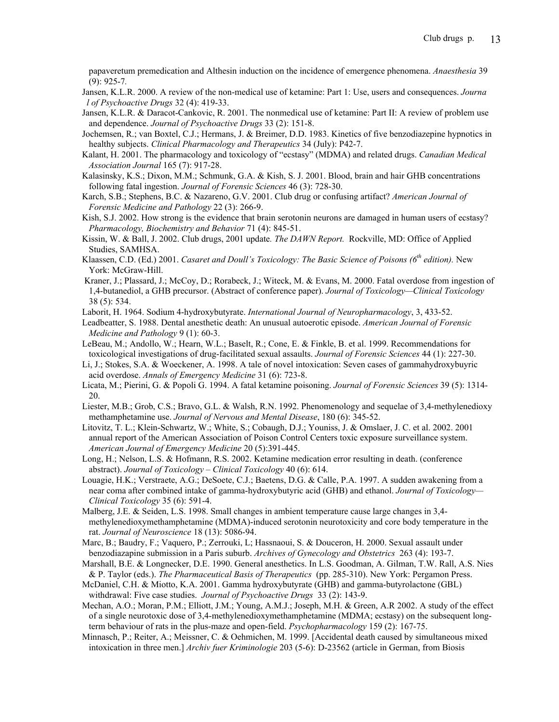papaveretum premedication and Althesin induction on the incidence of emergence phenomena. *Anaesthesia* 39 (9): 925-7*.*

- Jansen, K.L.R. 2000. A review of the non-medical use of ketamine: Part 1: Use, users and consequences. *Journa l of Psychoactive Drugs* 32 (4): 419-33.
- Jansen, K.L.R. & Daracot-Cankovic, R. 2001. The nonmedical use of ketamine: Part II: A review of problem use and dependence. *Journal of Psychoactive Drugs* 33 (2): 151-8.
- Jochemsen, R.; van Boxtel, C.J.; Hermans, J. & Breimer, D.D. 1983. Kinetics of five benzodiazepine hypnotics in healthy subjects. *Clinical Pharmacology and Therapeutics* 34 (July): P42-7.
- Kalant, H. 2001. The pharmacology and toxicology of "ecstasy" (MDMA) and related drugs. *Canadian Medical Association Journal* 165 (7): 917-28.
- Kalasinsky, K.S.; Dixon, M.M.; Schmunk, G.A. & Kish, S. J. 2001. Blood, brain and hair GHB concentrations following fatal ingestion. *Journal of Forensic Sciences* 46 (3): 728-30.
- Karch, S.B.; Stephens, B.C. & Nazareno, G.V. 2001. Club drug or confusing artifact? *American Journal of Forensic Medicine and Pathology* 22 (3): 266-9.
- Kish, S.J. 2002. How strong is the evidence that brain serotonin neurons are damaged in human users of ecstasy? *Pharmacology, Biochemistry and Behavior* 71 (4): 845-51.
- Kissin, W. & Ball, J. 2002. Club drugs, 2001 update*. The DAWN Report.* Rockville, MD: Office of Applied Studies, SAMHSA.
- Klaassen, C.D. (Ed.) 2001. *Casaret and Doull's Toxicology: The Basic Science of Poisons (6th edition).* New York: McGraw-Hill.
- Kraner, J.; Plassard, J.; McCoy, D.; Rorabeck, J.; Witeck, M. & Evans, M. 2000. Fatal overdose from ingestion of 1,4-butanediol, a GHB precursor. (Abstract of conference paper). *Journal of Toxicology—Clinical Toxicology* 38 (5): 534.
- Laborit, H. 1964. Sodium 4-hydroxybutyrate. *International Journal of Neuropharmacology*, 3, 433-52.
- Leadbeatter, S. 1988. Dental anesthetic death: An unusual autoerotic episode. *American Journal of Forensic Medicine and Pathology* 9 (1): 60-3.
- LeBeau, M.; Andollo, W.; Hearn, W.L.; Baselt, R.; Cone, E. & Finkle, B. et al. 1999. Recommendations for toxicological investigations of drug-facilitated sexual assaults. *Journal of Forensic Sciences* 44 (1): 227-30.
- Li, J.; Stokes, S.A. & Woeckener, A. 1998. A tale of novel intoxication: Seven cases of gammahydroxybuyric acid overdose. *Annals of Emergency Medicine* 31 (6): 723-8.
- Licata, M.; Pierini, G. & Popoli G. 1994. A fatal ketamine poisoning. *Journal of Forensic Sciences* 39 (5): 1314- 20.
- Liester, M.B.; Grob, C.S.; Bravo, G.L. & Walsh, R.N. 1992. Phenomenology and sequelae of 3,4-methylenedioxy methamphetamine use. *Journal of Nervous and Mental Disease*, 180 (6): 345-52.
- Litovitz, T. L.; Klein-Schwartz, W.; White, S.; Cobaugh, D.J.; Youniss, J. & Omslaer, J. C. et al. 2002. 2001 annual report of the American Association of Poison Control Centers toxic exposure surveillance system. *American Journal of Emergency Medicine* 20 (5):391-445.
- Long, H.; Nelson, L.S. & Hofmann, R.S. 2002. Ketamine medication error resulting in death. (conference abstract). *Journal of Toxicology – Clinical Toxicology* 40 (6): 614.
- Louagie, H.K.; Verstraete, A.G.; DeSoete, C.J.; Baetens, D.G. & Calle, P.A. 1997. A sudden awakening from a near coma after combined intake of gamma-hydroxybutyric acid (GHB) and ethanol. *Journal of Toxicology— Clinical Toxicology* 35 (6): 591-4.
- Malberg, J.E. & Seiden, L.S. 1998. Small changes in ambient temperature cause large changes in 3,4 methylenedioxymethamphetamine (MDMA)-induced serotonin neurotoxicity and core body temperature in the rat. *Journal of Neuroscience* 18 (13): 5086-94.
- Marc, B.; Baudry, F.; Vaquero, P.; Zerrouki, L; Hassnaoui, S. & Douceron, H. 2000. Sexual assault under benzodiazapine submission in a Paris suburb. *Archives of Gynecology and Obstetrics* 263 (4): 193-7.
- Marshall, B.E. & Longnecker, D.E. 1990. General anesthetics. In L.S. Goodman, A. Gilman, T.W. Rall, A.S. Nies & P. Taylor (eds.). *The Pharmaceutical Basis of Therapeutics* (pp. 285-310). New York: Pergamon Press.
- McDaniel, C.H. & Miotto, K.A. 2001. Gamma hydroxybutyrate (GHB) and gamma-butyrolactone (GBL) withdrawal: Five case studies. *Journal of Psychoactive Drugs* 33 (2): 143-9.
- Mechan, A.O.; Moran, P.M.; Elliott, J.M.; Young, A.M.J.; Joseph, M.H. & Green, A.R 2002. A study of the effect of a single neurotoxic dose of 3,4-methylenedioxymethamphetamine (MDMA; ecstasy) on the subsequent long term behaviour of rats in the plus-maze and open-field. *Psychopharmacology* 159 (2): 167-75.
- Minnasch, P.; Reiter, A.; Meissner, C. & Oehmichen, M. 1999. [Accidental death caused by simultaneous mixed intoxication in three men.] *Archiv fuer Kriminologie* 203 (5-6): D-23562 (article in German, from Biosis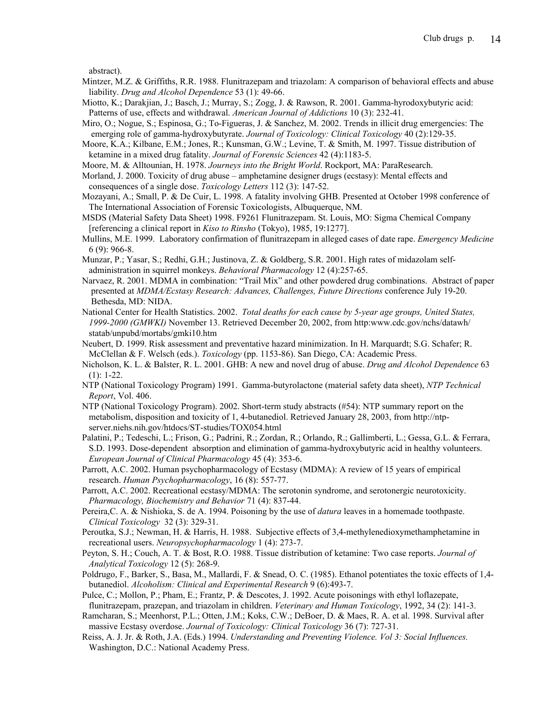abstract).

- Mintzer, M.Z. & Griffiths, R.R. 1988. Flunitrazepam and triazolam: A comparison of behavioral effects and abuse liability. *Drug and Alcohol Dependence* 53 (1): 49-66.
- Miotto, K.; Darakjian, J.; Basch, J.; Murray, S.; Zogg, J. & Rawson, R. 2001. Gamma-hyrodoxybutyric acid: Patterns of use, effects and withdrawal. *American Journal of Addictions* 10 (3): 232-41.
- Miro, O.; Nogue, S.; Espinosa, G.; To-Figueras, J. & Sanchez, M. 2002. Trends in illicit drug emergencies: The emerging role of gamma-hydroxybutyrate. *Journal of Toxicology: Clinical Toxicology* 40 (2):129-35.
- Moore, K.A.; Kilbane, E.M.; Jones, R.; Kunsman, G.W.; Levine, T. & Smith, M. 1997. Tissue distribution of ketamine in a mixed drug fatality. *Journal of Forensic Sciences* 42 (4):1183-5.

Moore, M. & Alltounian, H. 1978. *Journeys into the Bright World*. Rockport, MA: ParaResearch.

- Morland, J. 2000. Toxicity of drug abuse amphetamine designer drugs (ecstasy): Mental effects and consequences of a single dose. *Toxicology Letters* 112 (3): 147-52.
- Mozayani, A.; Small, P. & De Cuir, L. 1998. A fatality involving GHB. Presented at October 1998 conference of The International Association of Forensic Toxicologists, Albuquerque, NM.
- MSDS (Material Safety Data Sheet) 1998. F9261 Flunitrazepam. St. Louis, MO: Sigma Chemical Company [referencing a clinical report in *Kiso to Rinsho* (Tokyo), 1985, 19:1277].
- Mullins, M.E. 1999. Laboratory confirmation of flunitrazepam in alleged cases of date rape. *Emergency Medicine* 6 (9): 966-8.
- Munzar, P.; Yasar, S.; Redhi, G.H.; Justinova, Z. & Goldberg, S.R. 2001. High rates of midazolam self administration in squirrel monkeys. *Behavioral Pharmacology* 12 (4):257-65.
- Narvaez, R. 2001. MDMA in combination: "Trail Mix" and other powdered drug combinations. Abstract of paper presented at *MDMA/Ecstasy Research: Advances, Challenges, Future Directions* conference July 19-20. Bethesda, MD: NIDA.
- National Center for Health Statistics. 2002. *Total deaths for each cause by 5-year age groups, United States, 1999-2000 (GMWKI)* November 13. Retrieved December 20, 2002, from http:www.cdc.gov/nchs/datawh/ statab/unpubd/mortabs/gmki10.htm
- Neubert, D. 1999. Risk assessment and preventative hazard minimization. In H. Marquardt; S.G. Schafer; R. McClellan & F. Welsch (eds.). *Toxicology* (pp. 1153-86). San Diego, CA: Academic Press.
- Nicholson, K. L. & Balster, R. L. 2001. GHB: A new and novel drug of abuse. *Drug and Alcohol Dependence* 63  $(1): 1-22.$
- NTP (National Toxicology Program) 1991. Gamma-butyrolactone (material safety data sheet), *NTP Technical Report*, Vol. 406.
- NTP (National Toxicology Program). 2002. Short-term study abstracts (#54): NTP summary report on the metabolism, disposition and toxicity of 1, 4-butanediol. Retrieved January 28, 2003, from http://ntp server.niehs.nih.gov/htdocs/ST-studies/TOX054.html
- Palatini, P.; Tedeschi, L.; Frison, G.; Padrini, R.; Zordan, R.; Orlando, R.; Gallimberti, L.; Gessa, G.L. & Ferrara, S.D. 1993. Dose-dependent absorption and elimination of gamma-hydroxybutyric acid in healthy volunteers. *European Journal of Clinical Pharmacology* 45 (4): 353-6.
- Parrott, A.C. 2002. Human psychopharmacology of Ecstasy (MDMA): A review of 15 years of empirical research. *Human Psychopharmacology*, 16 (8): 557-77.
- Parrott, A.C. 2002. Recreational ecstasy/MDMA: The serotonin syndrome, and serotonergic neurotoxicity. *Pharmacology, Biochemistry and Behavior* 71 (4): 837-44.
- Pereira,C. A. & Nishioka, S. de A. 1994. Poisoning by the use of *datura* leaves in a homemade toothpaste. *Clinical Toxicology* 32 (3): 329-31.
- Peroutka, S.J.; Newman, H. & Harris, H. 1988. Subjective effects of 3,4-methylenedioxymethamphetamine in recreational users. *Neuropsychopharmacology* 1 (4): 273-7.
- Peyton, S. H.; Couch, A. T. & Bost, R.O. 1988. Tissue distribution of ketamine: Two case reports. *Journal of Analytical Toxicology* 12 (5): 268-9.
- Poldrugo, F., Barker, S., Basa, M., Mallardi, F. & Snead, O. C. (1985). Ethanol potentiates the toxic effects of 1,4 butanediol. *Alcoholism: Clinical and Experimental Research* 9 (6):493-7.
- Pulce, C.; Mollon, P.; Pham, E.; Frantz, P. & Descotes, J. 1992. Acute poisonings with ethyl loflazepate, flunitrazepam, prazepan, and triazolam in children. *Veterinary and Human Toxicology*, 1992, 34 (2): 141-3.
- Ramcharan, S.; Meenhorst, P.L.; Otten, J.M.; Koks, C.W.; DeBoer, D. & Maes, R. A. et al. 1998. Survival after massive Ecstasy overdose. *Journal of Toxicology: Clinical Toxicology* 36 (7): 727-31.
- Reiss, A. J. Jr. & Roth, J.A. (Eds.) 1994. *Understanding and Preventing Violence. Vol 3: Social Influences.* Washington, D.C.: National Academy Press.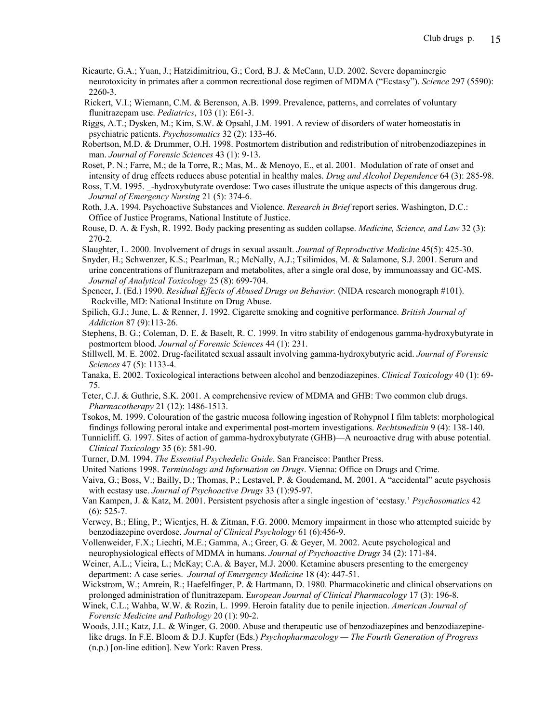- Ricaurte, G.A.; Yuan, J.; Hatzidimitriou, G.; Cord, B.J. & McCann, U.D. 2002. Severe dopaminergic neurotoxicity in primates after a common recreational dose regimen of MDMA ("Ecstasy"). *Science* 297 (5590): 2260-3.
- Rickert, V.I.; Wiemann, C.M. & Berenson, A.B. 1999. Prevalence, patterns, and correlates of voluntary flunitrazepam use. *Pediatrics*, 103 (1): E61-3.

Riggs, A.T.; Dysken, M.; Kim, S.W. & Opsahl, J.M. 1991. A review of disorders of water homeostatis in psychiatric patients. *Psychosomatics* 32 (2): 133-46.

- Robertson, M.D. & Drummer, O.H. 1998. Postmortem distribution and redistribution of nitrobenzodiazepines in man. *Journal of Forensic Sciences* 43 (1): 9-13.
- Roset, P. N.; Farre, M.; de la Torre, R.; Mas, M.. & Menoyo, E., et al. 2001. Modulation of rate of onset and intensity of drug effects reduces abuse potential in healthy males. *Drug and Alcohol Dependence* 64 (3): 285-98.
- Ross, T.M. 1995. \_-hydroxybutyrate overdose: Two cases illustrate the unique aspects of this dangerous drug. *Journal of Emergency Nursing* 21 (5): 374-6.
- Roth, J.A. 1994. Psychoactive Substances and Violence. *Research in Brief* report series. Washington, D.C.: Office of Justice Programs, National Institute of Justice.
- Rouse, D. A. & Fysh, R. 1992. Body packing presenting as sudden collapse. *Medicine, Science, and Law* 32 (3): 270-2.
- Slaughter, L. 2000. Involvement of drugs in sexual assault. *Journal of Reproductive Medicine* 45(5): 425-30.
- Snyder, H.; Schwenzer, K.S.; Pearlman, R.; McNally, A.J.; Tsilimidos, M. & Salamone, S.J. 2001. Serum and urine concentrations of flunitrazepam and metabolites, after a single oral dose, by immunoassay and GC-MS. *Journal of Analytical Toxicology* 25 (8): 699-704.
- Spencer, J. (Ed.) 1990. *Residual Effects of Abused Drugs on Behavior.* (NIDA research monograph #101). Rockville, MD: National Institute on Drug Abuse.
- Spilich, G.J.; June, L. & Renner, J. 1992. Cigarette smoking and cognitive performance. *British Journal of Addiction* 87 (9):113-26.

Stephens, B. G.; Coleman, D. E. & Baselt, R. C. 1999. In vitro stability of endogenous gamma-hydroxybutyrate in postmortem blood. *Journal of Forensic Sciences* 44 (1): 231.

- Stillwell, M. E. 2002. Drug-facilitated sexual assault involving gamma-hydroxybutyric acid. *Journal of Forensic Sciences* 47 (5): 1133-4.
- Tanaka, E. 2002. Toxicological interactions between alcohol and benzodiazepines. *Clinical Toxicology* 40 (1): 69- 75.
- Teter, C.J. & Guthrie, S.K. 2001. A comprehensive review of MDMA and GHB: Two common club drugs. *Pharmacotherapy* 21 (12): 1486-1513.
- Tsokos, M. 1999. Colouration of the gastric mucosa following ingestion of Rohypnol I film tablets: morphological findings following peroral intake and experimental post-mortem investigations. *Rechtsmedizin* 9 (4): 138-140.
- Tunnicliff. G. 1997. Sites of action of gamma-hydroxybutyrate (GHB)—A neuroactive drug with abuse potential. *Clinical Toxicology* 35 (6): 581-90.
- Turner, D.M. 1994. *The Essential Psychedelic Guide*. San Francisco: Panther Press.
- United Nations 1998. *Terminology and Information on Drugs*. Vienna: Office on Drugs and Crime.
- Vaiva, G.; Boss, V.; Bailly, D.; Thomas, P.; Lestavel, P. & Goudemand, M. 2001. A "accidental" acute psychosis with ecstasy use. *Journal of Psychoactive Drugs* 33 (1):95-97.
- Van Kampen, J. & Katz, M. 2001. Persistent psychosis after a single ingestion of 'ecstasy.' *Psychosomatics* 42  $(6)$ : 525-7.
- Verwey, B.; Eling, P.; Wientjes, H. & Zitman, F.G. 2000. Memory impairment in those who attempted suicide by benzodiazepine overdose. *Journal of Clinical Psychology* 61 (6):456-9.
- Vollenweider, F.X.; Liechti, M.E.; Gamma, A.; Greer, G. & Geyer, M. 2002. Acute psychological and neurophysiological effects of MDMA in humans. *Journal of Psychoactive Drugs* 34 (2): 171-84.
- Weiner, A.L.; Vieira, L.; McKay; C.A. & Bayer, M.J. 2000. Ketamine abusers presenting to the emergency department: A case series. *Journal of Emergency Medicine* 18 (4): 447-51.
- Wickstrom, W.; Amrein, R.; Haefelfinger, P. & Hartmann, D. 1980. Pharmacokinetic and clinical observations on prolonged administration of flunitrazepam. E*uropean Journal of Clinical Pharmacology* 17 (3): 196-8.
- Winek, C.L.; Wahba, W.W. & Rozin, L. 1999. Heroin fatality due to penile injection. *American Journal of Forensic Medicine and Pathology* 20 (1): 90-2.
- Woods, J.H.; Katz, J.L. & Winger, G. 2000. Abuse and therapeutic use of benzodiazepines and benzodiazepine like drugs. In F.E. Bloom & D.J. Kupfer (Eds.) *Psychopharmacology — The Fourth Generation of Progress* (n.p.) [on-line edition]. New York: Raven Press.